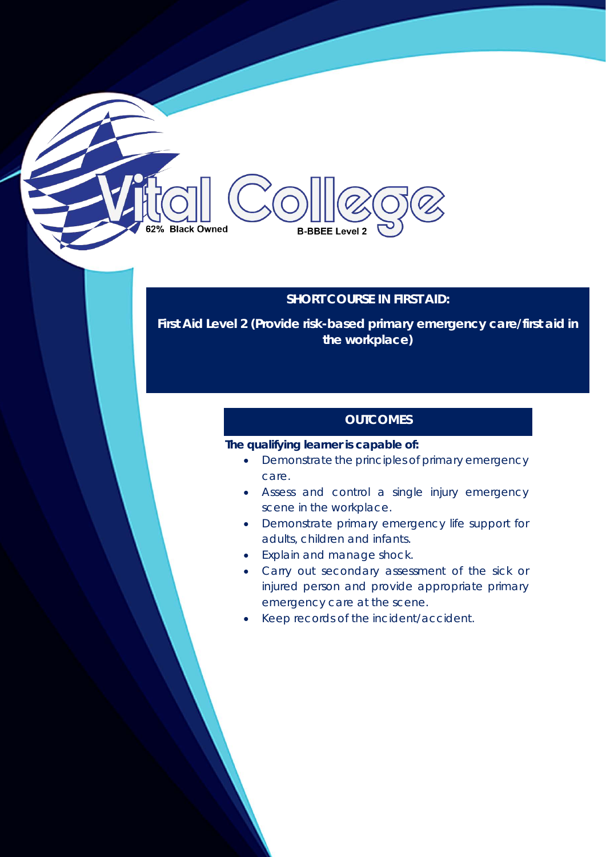# **SHORT COURSE IN FIRST AID:**

**B-BBEE Level 2** 

**First Aid Level 2 (Provide risk-based primary emergency care/first aid in the workplace)**

## **OUTCOMES**

### **The qualifying learner is capable of:**

**Black Owned** 

- Demonstrate the principles of primary emergency care.
- Assess and control a single injury emergency scene in the workplace.
- Demonstrate primary emergency life support for adults, children and infants.
- Explain and manage shock.
- Carry out secondary assessment of the sick or injured person and provide appropriate primary emergency care at the scene.
- Keep records of the incident/accident.